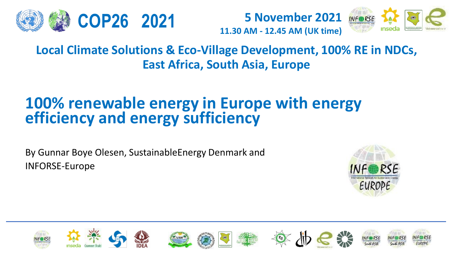

**5 November 2021 11.30 AM - 12.45 AM (UK time) COP26 2021**



#### **Local Climate Solutions & Eco-Village Development, 100% RE in NDCs, East Africa, South Asia, Europe**

#### **100% renewable energy in Europe with energy efficiency and energy sufficiency**

By Gunnar Boye Olesen, SustainableEnergy Denmark and INFORSE-Europe



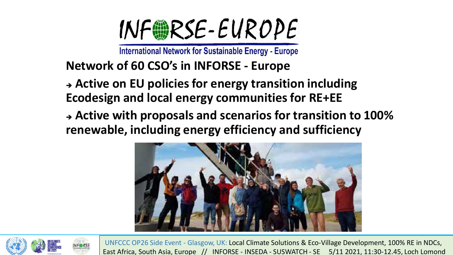

**International Network for Sustainable Energy - Europe** 

#### **Network of 60 CSO's in INFORSE - Europe**

➔ **Active on EU policies for energy transition including Ecodesign and local energy communities for RE+EE**

➔ **Active with proposals and scenarios for transition to 100% renewable, including energy efficiency and sufficiency**



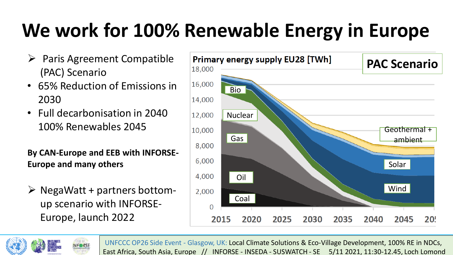### **We work for 100% Renewable Energy in Europe**

- ➢ Paris Agreement Compatible (PAC) Scenario
- 65% Reduction of Emissions in 2030
- Full decarbonisation in 2040 100% Renewables 2045

**By CAN-Europe and EEB with INFORSE-Europe and many others**

 $\triangleright$  NegaWatt + partners bottomup scenario with INFORSE-Europe, launch 2022

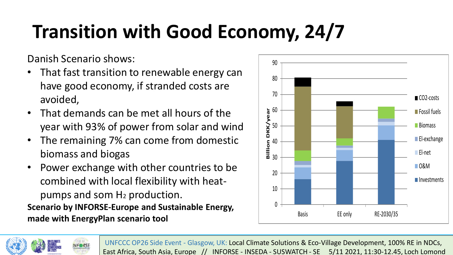## **Transition with Good Economy, 24/7**

Danish Scenario shows:

- That fast transition to renewable energy can have good economy, if stranded costs are avoided,
- That demands can be met all hours of the year with 93% of power from solar and wind
- The remaining 7% can come from domestic biomass and biogas
- Power exchange with other countries to be combined with local flexibility with heatpumps and som H<sup>2</sup> production. **Scenario by INFORSE-Europe and Sustainable Energy, made with EnergyPlan scenario tool**

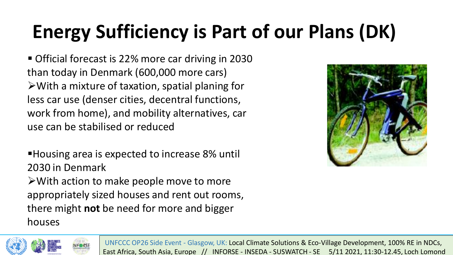# **Energy Sufficiency is Part of our Plans (DK)**

■ Official forecast is 22% more car driving in 2030 than today in Denmark (600,000 more cars) ➢With a mixture of taxation, spatial planing for less car use (denser cities, decentral functions, work from home), and mobility alternatives, car use can be stabilised or reduced

■Housing area is expected to increase 8% until 2030 in Denmark ➢With action to make people move to more appropriately sized houses and rent out rooms, there might **not** be need for more and bigger houses



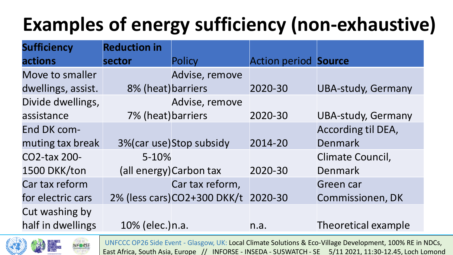## **Examples of energy sufficiency (non-exhaustive)**

| <b>Sufficiency</b> | <b>Reduction in</b> |                             |                             |                           |
|--------------------|---------------------|-----------------------------|-----------------------------|---------------------------|
| actions            | sector              | Policy                      | <b>Action period Source</b> |                           |
| Move to smaller    |                     | Advise, remove              |                             |                           |
| dwellings, assist. | 8% (heat) barriers  |                             | 2020-30                     | <b>UBA-study, Germany</b> |
| Divide dwellings,  |                     | Advise, remove              |                             |                           |
| assistance         | 7% (heat) barriers  |                             | 2020-30                     | <b>UBA-study, Germany</b> |
| End DK com-        |                     |                             |                             | According til DEA,        |
| muting tax break   |                     | 3% (car use) Stop subsidy   | 2014-20                     | Denmark                   |
| CO2-tax 200-       | $5 - 10%$           |                             |                             | Climate Council,          |
| 1500 DKK/ton       |                     | (all energy) Carbon tax     | 2020-30                     | Denmark                   |
| Car tax reform     |                     | Car tax reform,             |                             | Green car                 |
| for electric cars  |                     | 2% (less cars)CO2+300 DKK/t | 2020-30                     | <b>Commissionen, DK</b>   |
| Cut washing by     |                     |                             |                             |                           |
| half in dwellings  | 10% (elec.) n.a.    |                             | n.a.                        | Theoretical example       |

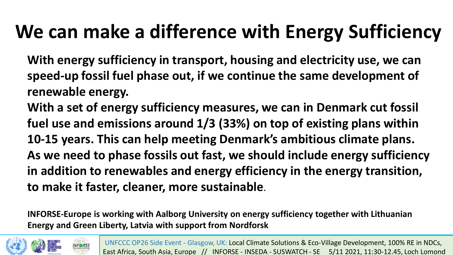#### **We can make a difference with Energy Sufficiency**

**With energy sufficiency in transport, housing and electricity use, we can speed-up fossil fuel phase out, if we continue the same development of renewable energy.**

**With a set of energy sufficiency measures, we can in Denmark cut fossil fuel use and emissions around 1/3 (33%) on top of existing plans within 10-15 years. This can help meeting Denmark's ambitious climate plans. As we need to phase fossils out fast, we should include energy sufficiency in addition to renewables and energy efficiency in the energy transition, to make it faster, cleaner, more sustainable**.

**INFORSE-Europe is working with Aalborg University on energy sufficiency together with Lithuanian Energy and Green Liberty, Latvia with support from Nordforsk**